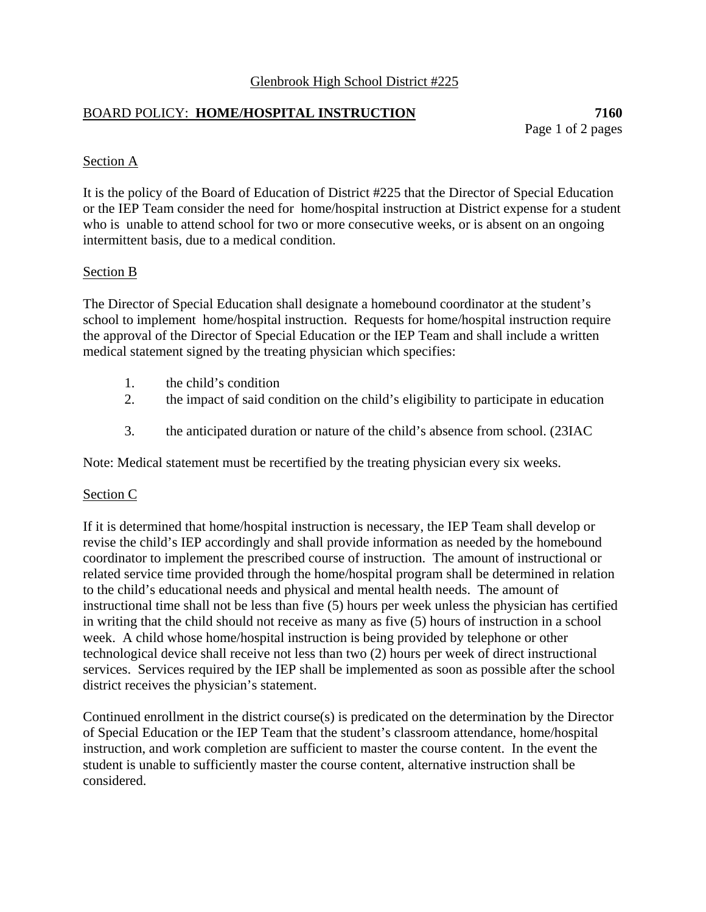## Glenbrook High School District #225

## BOARD POLICY: **HOME/HOSPITAL INSTRUCTION 7160**

Page 1 of 2 pages

### Section A

It is the policy of the Board of Education of District #225 that the Director of Special Education or the IEP Team consider the need for home/hospital instruction at District expense for a student who is unable to attend school for two or more consecutive weeks, or is absent on an ongoing intermittent basis, due to a medical condition.

#### Section B

The Director of Special Education shall designate a homebound coordinator at the student's school to implement home/hospital instruction. Requests for home/hospital instruction require the approval of the Director of Special Education or the IEP Team and shall include a written medical statement signed by the treating physician which specifies:

- 1. the child's condition
- 2. the impact of said condition on the child's eligibility to participate in education
- 3. the anticipated duration or nature of the child's absence from school. (23IAC

Note: Medical statement must be recertified by the treating physician every six weeks.

#### Section C

If it is determined that home/hospital instruction is necessary, the IEP Team shall develop or revise the child's IEP accordingly and shall provide information as needed by the homebound coordinator to implement the prescribed course of instruction. The amount of instructional or related service time provided through the home/hospital program shall be determined in relation to the child's educational needs and physical and mental health needs. The amount of instructional time shall not be less than five (5) hours per week unless the physician has certified in writing that the child should not receive as many as five (5) hours of instruction in a school week. A child whose home/hospital instruction is being provided by telephone or other technological device shall receive not less than two (2) hours per week of direct instructional services. Services required by the IEP shall be implemented as soon as possible after the school district receives the physician's statement.

Continued enrollment in the district course(s) is predicated on the determination by the Director of Special Education or the IEP Team that the student's classroom attendance, home/hospital instruction, and work completion are sufficient to master the course content. In the event the student is unable to sufficiently master the course content, alternative instruction shall be considered.